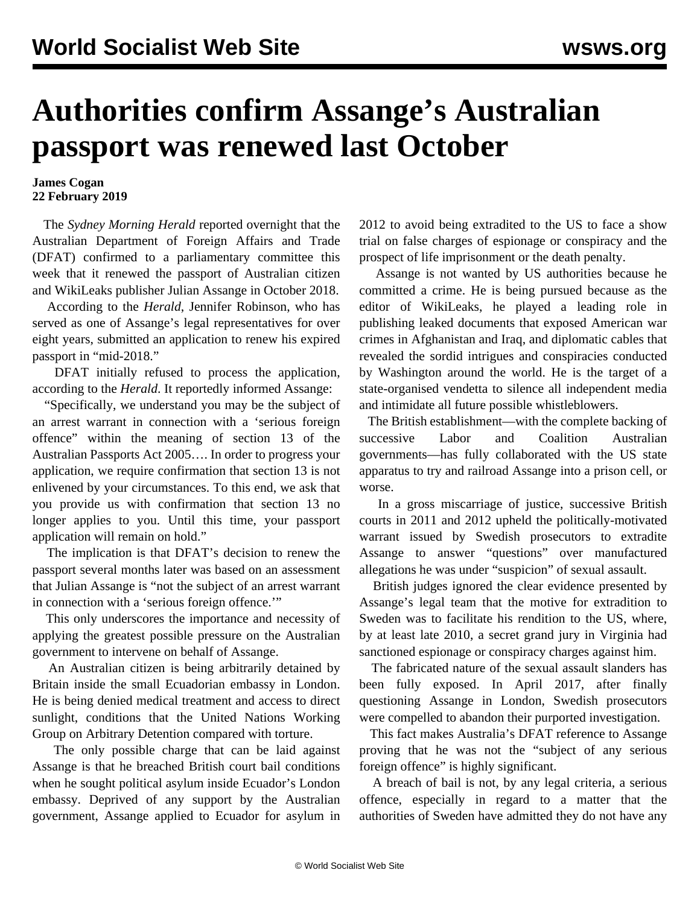## **Authorities confirm Assange's Australian passport was renewed last October**

## **James Cogan 22 February 2019**

 The *Sydney Morning Herald* reported overnight that the Australian Department of Foreign Affairs and Trade (DFAT) confirmed to a parliamentary committee this week that it renewed the passport of Australian citizen and WikiLeaks publisher Julian Assange in October 2018.

 According to the *Herald*, Jennifer Robinson, who has served as one of Assange's legal representatives for over eight years, submitted an application to renew his expired passport in "mid-2018."

 DFAT initially refused to process the application, according to the *Herald*. It reportedly informed Assange:

 "Specifically, we understand you may be the subject of an arrest warrant in connection with a 'serious foreign offence" within the meaning of section 13 of the Australian Passports Act 2005…. In order to progress your application, we require confirmation that section 13 is not enlivened by your circumstances. To this end, we ask that you provide us with confirmation that section 13 no longer applies to you. Until this time, your passport application will remain on hold."

 The implication is that DFAT's decision to renew the passport several months later was based on an assessment that Julian Assange is "not the subject of an arrest warrant in connection with a 'serious foreign offence.'"

 This only underscores the importance and necessity of applying the greatest possible pressure on the Australian government to intervene on behalf of Assange.

 An Australian citizen is being arbitrarily detained by Britain inside the small Ecuadorian embassy in London. He is being denied medical treatment and access to direct sunlight, conditions that the United Nations Working Group on Arbitrary Detention compared with torture.

 The only possible charge that can be laid against Assange is that he breached British court bail conditions when he sought political asylum inside Ecuador's London embassy. Deprived of any support by the Australian government, Assange applied to Ecuador for asylum in

2012 to avoid being extradited to the US to face a show trial on false charges of espionage or conspiracy and the prospect of life imprisonment or the death penalty.

 Assange is not wanted by US authorities because he committed a crime. He is being pursued because as the editor of WikiLeaks, he played a leading role in publishing leaked documents that exposed American war crimes in Afghanistan and Iraq, and diplomatic cables that revealed the sordid intrigues and conspiracies conducted by Washington around the world. He is the target of a state-organised vendetta to silence all independent media and intimidate all future possible whistleblowers.

 The British establishment—with the complete backing of successive Labor and Coalition Australian governments—has fully collaborated with the US state apparatus to try and railroad Assange into a prison cell, or worse.

 In a gross miscarriage of justice, successive British courts in 2011 and 2012 upheld the politically-motivated warrant issued by Swedish prosecutors to extradite Assange to answer "questions" over manufactured allegations he was under "suspicion" of sexual assault.

 British judges ignored the clear evidence presented by Assange's legal team that the motive for extradition to Sweden was to facilitate his rendition to the US, where, by at least late 2010, a secret grand jury in Virginia had sanctioned espionage or conspiracy charges against him.

 The fabricated nature of the sexual assault slanders has been fully exposed. In April 2017, after finally questioning Assange in London, Swedish prosecutors were compelled to abandon their purported investigation.

 This fact makes Australia's DFAT reference to Assange proving that he was not the "subject of any serious foreign offence" is highly significant.

 A breach of bail is not, by any legal criteria, a serious offence, especially in regard to a matter that the authorities of Sweden have admitted they do not have any